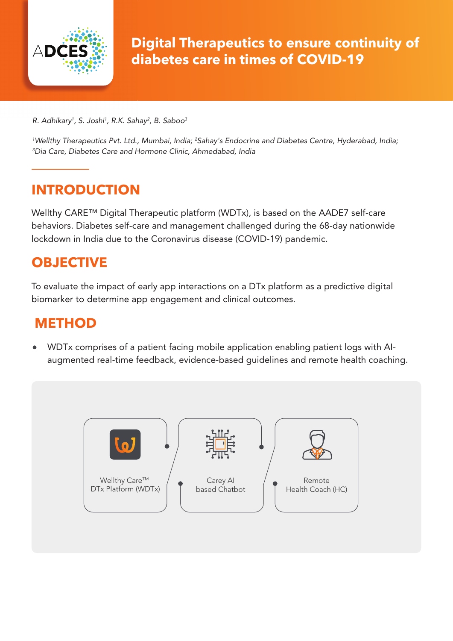

*R. Adhikary1 , S. Joshi1 , R.K. Sahay2 , B. Saboo3*

*1 Wellthy Therapeutics Pvt. Ltd., Mumbai, India; 2 Sahay's Endocrine and Diabetes Centre, Hyderabad, India; 3 Dia Care, Diabetes Care and Hormone Clinic, Ahmedabad, India*

## **INTRODUCTION**

Wellthy CARE™ Digital Therapeutic platform (WDTx), is based on the AADE7 self-care behaviors. Diabetes self-care and management challenged during the 68-day nationwide lockdown in India due to the Coronavirus disease (COVID-19) pandemic.

# **OBJECTIVE**

To evaluate the impact of early app interactions on a DTx platform as a predictive digital biomarker to determine app engagement and clinical outcomes.

## **METHOD**

WDTx comprises of a patient facing mobile application enabling patient logs with AIaugmented real-time feedback, evidence-based guidelines and remote health coaching.

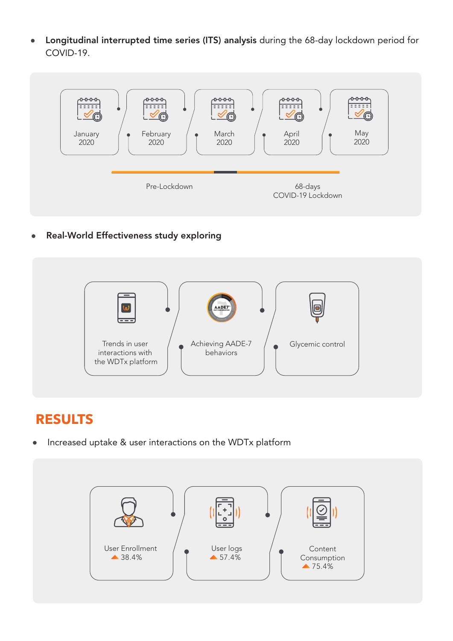Longitudinal interrupted time series (ITS) analysis during the 68-day lockdown period for  $\bullet$ COVID-19.



Real-World Effectiveness study exploring  $\bullet$ 



## **RESULTS**

Increased uptake & user interactions on the WDTx platform

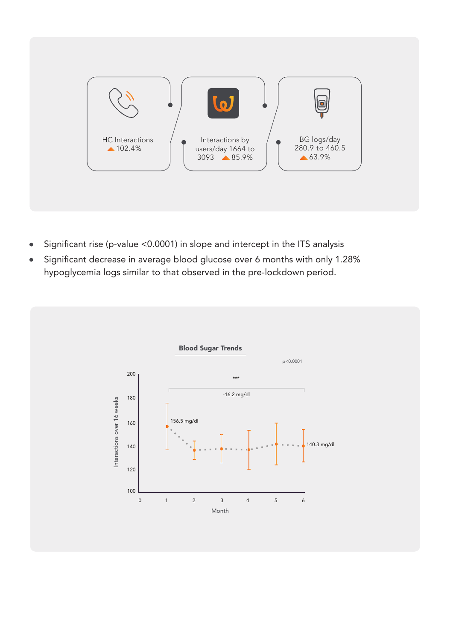

- Significant rise (p-value <0.0001) in slope and intercept in the ITS analysis
- Significant decrease in average blood glucose over 6 months with only 1.28% hypoglycemia logs similar to that observed in the pre-lockdown period.